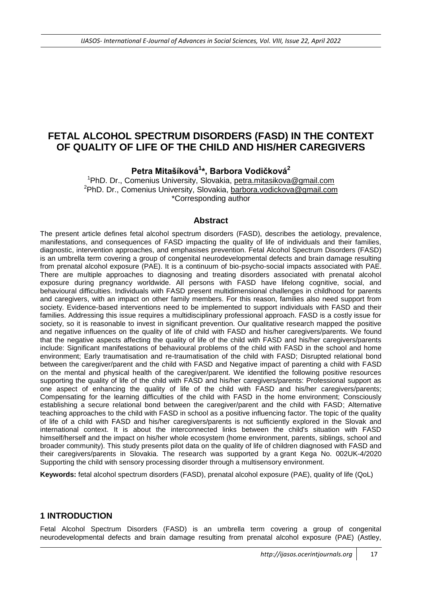# **FETAL ALCOHOL SPECTRUM DISORDERS (FASD) IN THE CONTEXT OF QUALITY OF LIFE OF THE CHILD AND HIS/HER CAREGIVERS**

**Petra Mitašíková<sup>1</sup> \*, Barbora Vodičková<sup>2</sup>**

<sup>1</sup>PhD. Dr., Comenius University, Slovakia, [petra.mitasikova@gmail.com](mailto:petra.mitasikova@gmail.com) <sup>2</sup>PhD. Dr., Comenius University, Slovakia, [barbora.vodickova@gmail.com](mailto:barbora.vodickova@gmail.com) \*Corresponding author

### **Abstract**

The present article defines fetal alcohol spectrum disorders (FASD), describes the aetiology, prevalence, manifestations, and consequences of FASD impacting the quality of life of individuals and their families, diagnostic, intervention approaches, and emphasises prevention. Fetal Alcohol Spectrum Disorders (FASD) is an umbrella term covering a group of congenital neurodevelopmental defects and brain damage resulting from prenatal alcohol exposure (PAE). It is a continuum of bio-psycho-social impacts associated with PAE. There are multiple approaches to diagnosing and treating disorders associated with prenatal alcohol exposure during pregnancy worldwide. All persons with FASD have lifelong cognitive, social, and behavioural difficulties. Individuals with FASD present multidimensional challenges in childhood for parents and caregivers, with an impact on other family members. For this reason, families also need support from society. Evidence-based interventions need to be implemented to support individuals with FASD and their families. Addressing this issue requires a multidisciplinary professional approach. FASD is a costly issue for society, so it is reasonable to invest in significant prevention. Our qualitative research mapped the positive and negative influences on the quality of life of child with FASD and his/her caregivers/parents. We found that the negative aspects affecting the quality of life of the child with FASD and his/her caregivers/parents include: Significant manifestations of behavioural problems of the child with FASD in the school and home environment; Early traumatisation and re-traumatisation of the child with FASD; Disrupted relational bond between the caregiver/parent and the child with FASD and Negative impact of parenting a child with FASD on the mental and physical health of the caregiver/parent. We identified the following positive resources supporting the quality of life of the child with FASD and his/her caregivers/parents: Professional support as one aspect of enhancing the quality of life of the child with FASD and his/her caregivers/parents; Compensating for the learning difficulties of the child with FASD in the home environment; Consciously establishing a secure relational bond between the caregiver/parent and the child with FASD; Alternative teaching approaches to the child with FASD in school as a positive influencing factor. The topic of the quality of life of a child with FASD and his/her caregivers/parents is not sufficiently explored in the Slovak and international context. It is about the interconnected links between the child's situation with FASD himself/herself and the impact on his/her whole ecosystem (home environment, parents, siblings, school and broader community). This study presents pilot data on the quality of life of children diagnosed with FASD and their caregivers/parents in Slovakia. The research was supported by a grant Kega No. 002UK-4/2020 Supporting the child with sensory processing disorder through a multisensory environment.

**Keywords:** fetal alcohol spectrum disorders (FASD), prenatal alcohol exposure (PAE), quality of life (QoL)

### **1 INTRODUCTION**

Fetal Alcohol Spectrum Disorders (FASD) is an umbrella term covering a group of congenital neurodevelopmental defects and brain damage resulting from prenatal alcohol exposure (PAE) (Astley,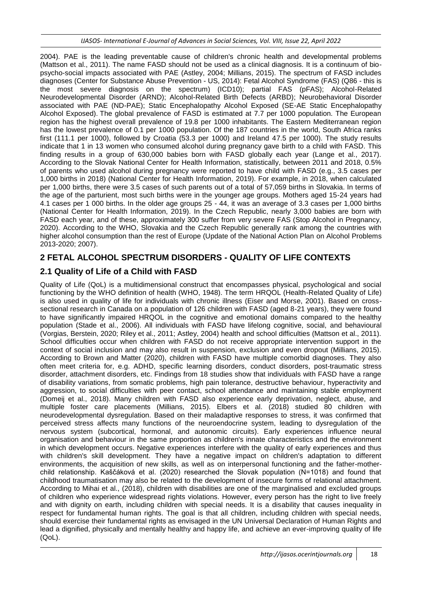2004). PAE is the leading preventable cause of children's chronic health and developmental problems (Mattson et al., 2011). The name FASD should not be used as a clinical diagnosis. It is a continuum of biopsycho-social impacts associated with PAE (Astley, 2004; Millians, 2015). The spectrum of FASD includes diagnoses (Center for Substance Abuse Prevention - US, 2014): Fetal Alcohol Syndrome (FAS) (Q86 - this is the most severe diagnosis on the spectrum) (ICD10); partial FAS (pFAS); Alcohol-Related Neurodevelopmental Disorder (ARND); Alcohol-Related Birth Defects (ARBD); Neurobehavioral Disorder associated with PAE (ND-PAE); Static Encephalopathy Alcohol Exposed (SE-AE Static Encephalopathy Alcohol Exposed). The global prevalence of FASD is estimated at 7.7 per 1000 population. The European region has the highest overall prevalence of 19.8 per 1000 inhabitants. The Eastern Mediterranean region has the lowest prevalence of 0.1 per 1000 population. Of the 187 countries in the world, South Africa ranks first (111.1 per 1000), followed by Croatia (53.3 per 1000) and Ireland 47.5 per 1000). The study results indicate that 1 in 13 women who consumed alcohol during pregnancy gave birth to a child with FASD. This finding results in a group of 630,000 babies born with FASD globally each year (Lange et al., 2017). According to the Slovak National Center for Health Information, statistically, between 2011 and 2018, 0.5% of parents who used alcohol during pregnancy were reported to have child with FASD (e.g., 3.5 cases per 1,000 births in 2018) (National Center for Health Information, 2019). For example, in 2018, when calculated per 1,000 births, there were 3.5 cases of such parents out of a total of 57,059 births in Slovakia. In terms of the age of the parturient, most such births were in the younger age groups. Mothers aged 15-24 years had 4.1 cases per 1 000 births. In the older age groups 25 - 44, it was an average of 3.3 cases per 1,000 births (National Center for Health Information, 2019). In the Czech Republic, nearly 3,000 babies are born with FASD each year, and of these, approximately 300 suffer from very severe FAS (Stop Alcohol in Pregnancy, 2020). According to the WHO, Slovakia and the Czech Republic generally rank among the countries with higher alcohol consumption than the rest of Europe (Update of the National Action Plan on Alcohol Problems 2013-2020; 2007).

# **2 FETAL ALCOHOL SPECTRUM DISORDERS - QUALITY OF LIFE CONTEXTS**

# **2.1 Quality of Life of a Child with FASD**

Quality of Life (QoL) is a multidimensional construct that encompasses physical, psychological and social functioning by the WHO definition of health (WHO, 1948). The term HRQOL (Health-Related Quality of Life) is also used in quality of life for individuals with chronic illness (Eiser and Morse, 2001). Based on crosssectional research in Canada on a population of 126 children with FASD (aged 8-21 years), they were found to have significantly impaired HRQOL in the cognitive and emotional domains compared to the healthy population (Stade et al., 2006). All individuals with FASD have lifelong cognitive, social, and behavioural (Vorgias, Berstein, 2020; Riley et al., 2011; Astley, 2004) health and school difficulties (Mattson et al., 2011). School difficulties occur when children with FASD do not receive appropriate intervention support in the context of social inclusion and may also result in suspension, exclusion and even dropout (Millians, 2015). According to Brown and Matter (2020), children with FASD have multiple comorbid diagnoses. They also often meet criteria for, e.g. ADHD, specific learning disorders, conduct disorders, post-traumatic stress disorder, attachment disorders, etc. Findings from 18 studies show that individuals with FASD have a range of disability variations, from somatic problems, high pain tolerance, destructive behaviour, hyperactivity and aggression, to social difficulties with peer contact, school attendance and maintaining stable employment (Domeij et al., 2018). Many children with FASD also experience early deprivation, neglect, abuse, and multiple foster care placements (Millians, 2015). Elbers et al. (2018) studied 80 children with neurodevelopmental dysregulation. Based on their maladaptive responses to stress, it was confirmed that perceived stress affects many functions of the neuroendocrine system, leading to dysregulation of the nervous system (subcortical, hormonal, and autonomic circuits). Early experiences influence neural organisation and behaviour in the same proportion as children's innate characteristics and the environment in which development occurs. Negative experiences interfere with the quality of early experiences and thus with children's skill development. They have a negative impact on children's adaptation to different environments, the acquisition of new skills, as well as on interpersonal functioning and the father-motherchild relationship. Kaščáková et al. (2020) researched the Slovak population (N=1018) and found that childhood traumatisation may also be related to the development of insecure forms of relational attachment. According to Mihai et al., (2018), children with disabilities are one of the marginalised and excluded groups of children who experience widespread rights violations. However, every person has the right to live freely and with dignity on earth, including children with special needs. It is a disability that causes inequality in respect for fundamental human rights. The goal is that all children, including children with special needs, should exercise their fundamental rights as envisaged in the UN Universal Declaration of Human Rights and lead a dignified, physically and mentally healthy and happy life, and achieve an ever-improving quality of life (QoL).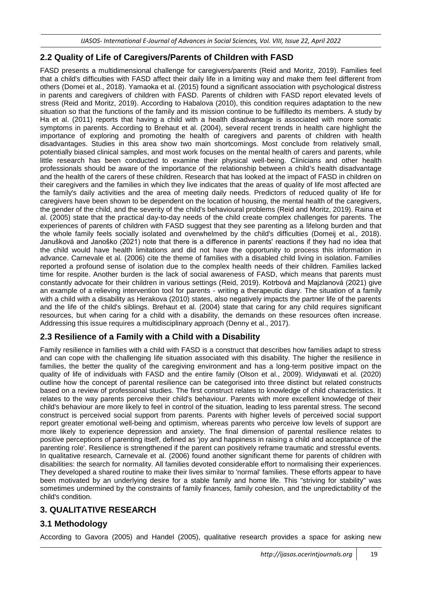## **2.2 Quality of Life of Caregivers/Parents of Children with FASD**

FASD presents a multidimensional challenge for caregivers/parents (Reid and Moritz, 2019). Families feel that a child's difficulties with FASD affect their daily life in a limiting way and make them feel different from others (Domei et al., 2018). Yamaoka et al. (2015) found a significant association with psychological distress in parents and caregivers of children with FASD. Parents of children with FASD report elevated levels of stress (Reid and Moritz, 2019). According to Habalova (2010), this condition requires adaptation to the new situation so that the functions of the family and its mission continue to be fulfilledto its members. A study by Ha et al. (2011) reports that having a child with a health disadvantage is associated with more somatic symptoms in parents. According to Brehaut et al. (2004), several recent trends in health care highlight the importance of exploring and promoting the health of caregivers and parents of children with health disadvantages. Studies in this area show two main shortcomings. Most conclude from relatively small, potentially biased clinical samples, and most work focuses on the mental health of carers and parents, while little research has been conducted to examine their physical well-being. Clinicians and other health professionals should be aware of the importance of the relationship between a child's health disadvantage and the health of the carers of these children. Research that has looked at the impact of FASD in children on their caregivers and the families in which they live indicates that the areas of quality of life most affected are the family's daily activities and the area of meeting daily needs. Predictors of reduced quality of life for caregivers have been shown to be dependent on the location of housing, the mental health of the caregivers, the gender of the child, and the severity of the child's behavioural problems (Reid and Moritz, 2019). Raina et al. (2005) state that the practical day-to-day needs of the child create complex challenges for parents. The experiences of parents of children with FASD suggest that they see parenting as a lifelong burden and that the whole family feels socially isolated and overwhelmed by the child's difficulties (Domeij et al., 2018). Janušková and Janoško (2021) note that there is a difference in parents' reactions if they had no idea that the child would have health limitations and did not have the opportunity to process this information in advance. Carnevale et al. (2006) cite the theme of families with a disabled child living in isolation. Families reported a profound sense of isolation due to the complex health needs of their children. Families lacked time for respite. Another burden is the lack of social awareness of FASD, which means that parents must constantly advocate for their children in various settings (Reid, 2019). Kotrbová and Majzlanová (2021) give an example of a relieving intervention tool for parents - writing a therapeutic diary. The situation of a family with a child with a disability as Herakova (2010) states, also negatively impacts the partner life of the parents and the life of the child's siblings. Brehaut et al. (2004) state that caring for any child requires significant resources, but when caring for a child with a disability, the demands on these resources often increase. Addressing this issue requires a multidisciplinary approach (Denny et al., 2017).

## **2.3 Resilience of a Family with a Child with a Disability**

Family resilience in families with a child with FASD is a construct that describes how families adapt to stress and can cope with the challenging life situation associated with this disability. The higher the resilience in families, the better the quality of the caregiving environment and has a long-term positive impact on the quality of life of individuals with FASD and the entire family (Olson et al., 2009). Widyawati et al. (2020) outline how the concept of parental resilience can be categorised into three distinct but related constructs based on a review of professional studies. The first construct relates to knowledge of child characteristics. It relates to the way parents perceive their child's behaviour. Parents with more excellent knowledge of their child's behaviour are more likely to feel in control of the situation, leading to less parental stress. The second construct is perceived social support from parents. Parents with higher levels of perceived social support report greater emotional well-being and optimism, whereas parents who perceive low levels of support are more likely to experience depression and anxiety. The final dimension of parental resilience relates to positive perceptions of parenting itself, defined as 'joy and happiness in raising a child and acceptance of the parenting role'. Resilience is strengthened if the parent can positively reframe traumatic and stressful events. In qualitative research, Carnevale et al. (2006) found another significant theme for parents of children with disabilities: the search for normality. All families devoted considerable effort to normalising their experiences. They developed a shared routine to make their lives similar to 'normal' families. These efforts appear to have been motivated by an underlying desire for a stable family and home life. This "striving for stability" was sometimes undermined by the constraints of family finances, family cohesion, and the unpredictability of the child's condition.

## **3. QUALITATIVE RESEARCH**

## **3.1 Methodology**

According to Gavora (2005) and Handel (2005), qualitative research provides a space for asking new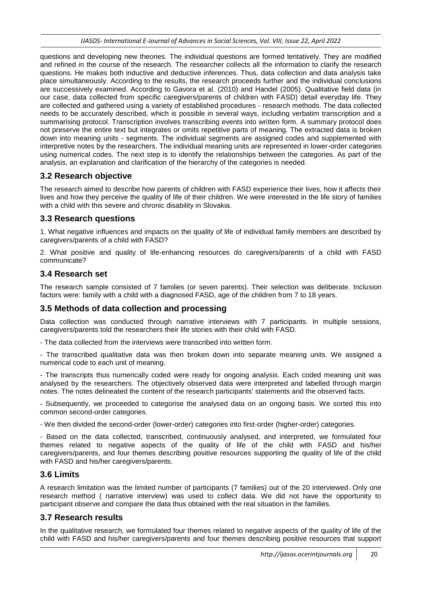questions and developing new theories. The individual questions are formed tentatively. They are modified and refined in the course of the research. The researcher collects all the information to clarify the research questions. He makes both inductive and deductive inferences. Thus, data collection and data analysis take place simultaneously. According to the results, the research proceeds further and the individual conclusions are successively examined. According to Gavora et al. (2010) and Handel (2005). Qualitative field data (in our case, data collected from specific caregivers/parents of children with FASD) detail everyday life. They are collected and gathered using a variety of established procedures - research methods. The data collected needs to be accurately described, which is possible in several ways, including verbatim transcription and a summarising protocol. Transcription involves transcribing events into written form. A summary protocol does not preserve the entire text but integrates or omits repetitive parts of meaning. The extracted data is broken down into meaning units - segments. The individual segments are assigned codes and supplemented with interpretive notes by the researchers. The individual meaning units are represented in lower-order categories using numerical codes. The next step is to identify the relationships between the categories. As part of the analysis, an explanation and clarification of the hierarchy of the categories is needed.

## **3.2 Research objective**

The research aimed to describe how parents of children with FASD experience their lives, how it affects their lives and how they perceive the quality of life of their children. We were interested in the life story of families with a child with this severe and chronic disability in Slovakia.

## **3.3 Research questions**

1. What negative influences and impacts on the quality of life of individual family members are described by caregivers/parents of a child with FASD?

2. What positive and quality of life-enhancing resources do caregivers/parents of a child with FASD communicate?

## **3.4 Research set**

The research sample consisted of 7 families (or seven parents). Their selection was deliberate. Inclusion factors were: family with a child with a diagnosed FASD, age of the children from 7 to 18 years.

## **3.5 Methods of data collection and processing**

Data collection was conducted through narrative interviews with 7 participants. In multiple sessions, caregivers/parents told the researchers their life stories with their child with FASD.

- The data collected from the interviews were transcribed into written form.

- The transcribed qualitative data was then broken down into separate meaning units. We assigned a numerical code to each unit of meaning.

- The transcripts thus numerically coded were ready for ongoing analysis. Each coded meaning unit was analysed by the researchers. The objectively observed data were interpreted and labelled through margin notes. The notes delineated the content of the research participants' statements and the observed facts.

- Subsequently, we proceeded to categorise the analysed data on an ongoing basis. We sorted this into common second-order categories.

- We then divided the second-order (lower-order) categories into first-order (higher-order) categories.

- Based on the data collected, transcribed, continuously analysed, and interpreted, we formulated four themes related to negative aspects of the quality of life of the child with FASD and his/her caregivers/parents, and four themes describing positive resources supporting the quality of life of the child with FASD and his/her caregivers/parents.

## **3.6 Limits**

A research limitation was the limited number of participants (7 families) out of the 20 interviewed. Only one research method ( narrative interview) was used to collect data. We did not have the opportunity to participant observe and compare the data thus obtained with the real situation in the families.

## **3.7 Research results**

In the qualitative research, we formulated four themes related to negative aspects of the quality of life of the child with FASD and his/her caregivers/parents and four themes describing positive resources that support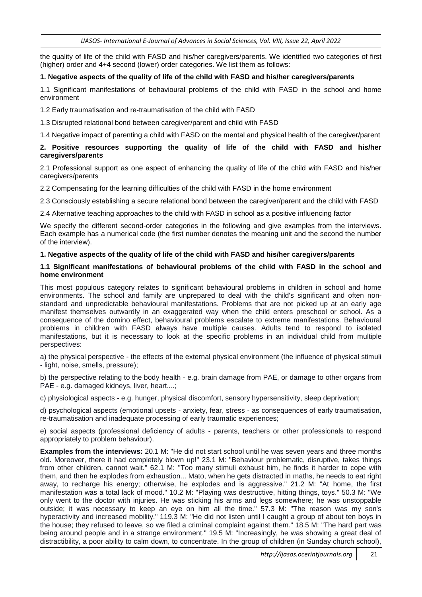the quality of life of the child with FASD and his/her caregivers/parents. We identified two categories of first (higher) order and 4+4 second (lower) order categories. We list them as follows:

#### **1. Negative aspects of the quality of life of the child with FASD and his/her caregivers/parents**

1.1 Significant manifestations of behavioural problems of the child with FASD in the school and home environment

1.2 Early traumatisation and re-traumatisation of the child with FASD

1.3 Disrupted relational bond between caregiver/parent and child with FASD

1.4 Negative impact of parenting a child with FASD on the mental and physical health of the caregiver/parent

#### **2. Positive resources supporting the quality of life of the child with FASD and his/her caregivers/parents**

2.1 Professional support as one aspect of enhancing the quality of life of the child with FASD and his/her caregivers/parents

2.2 Compensating for the learning difficulties of the child with FASD in the home environment

2.3 Consciously establishing a secure relational bond between the caregiver/parent and the child with FASD

2.4 Alternative teaching approaches to the child with FASD in school as a positive influencing factor

We specify the different second-order categories in the following and give examples from the interviews. Each example has a numerical code (the first number denotes the meaning unit and the second the number of the interview).

#### **1. Negative aspects of the quality of life of the child with FASD and his/her caregivers/parents**

#### **1.1 Significant manifestations of behavioural problems of the child with FASD in the school and home environment**

This most populous category relates to significant behavioural problems in children in school and home environments. The school and family are unprepared to deal with the child's significant and often nonstandard and unpredictable behavioural manifestations. Problems that are not picked up at an early age manifest themselves outwardly in an exaggerated way when the child enters preschool or school. As a consequence of the domino effect, behavioural problems escalate to extreme manifestations. Behavioural problems in children with FASD always have multiple causes. Adults tend to respond to isolated manifestations, but it is necessary to look at the specific problems in an individual child from multiple perspectives:

a) the physical perspective - the effects of the external physical environment (the influence of physical stimuli - light, noise, smells, pressure);

b) the perspective relating to the body health - e.g. brain damage from PAE, or damage to other organs from PAE - e.g. damaged kidneys, liver, heart....;

c) physiological aspects - e.g. hunger, physical discomfort, sensory hypersensitivity, sleep deprivation;

d) psychological aspects (emotional upsets - anxiety, fear, stress - as consequences of early traumatisation, re-traumatisation and inadequate processing of early traumatic experiences;

e) social aspects (professional deficiency of adults - parents, teachers or other professionals to respond appropriately to problem behaviour).

**Examples from the interviews:** 20.1 M: "He did not start school until he was seven years and three months old. Moreover, there it had completely blown up!" 23.1 M: "Behaviour problematic, disruptive, takes things from other children, cannot wait." 62.1 M: "Too many stimuli exhaust him, he finds it harder to cope with them, and then he explodes from exhaustion... Mato, when he gets distracted in maths, he needs to eat right away, to recharge his energy; otherwise, he explodes and is aggressive." 21.2 M: "At home, the first manifestation was a total lack of mood." 10.2 M: "Playing was destructive, hitting things, toys." 50.3 M: "We only went to the doctor with injuries. He was sticking his arms and legs somewhere; he was unstoppable outside; it was necessary to keep an eye on him all the time." 57.3 M: "The reason was my son's hyperactivity and increased mobility." 119.3 M: "He did not listen until I caught a group of about ten boys in the house; they refused to leave, so we filed a criminal complaint against them." 18.5 M: "The hard part was being around people and in a strange environment." 19.5 M: "Increasingly, he was showing a great deal of distractibility, a poor ability to calm down, to concentrate. In the group of children (in Sunday church school),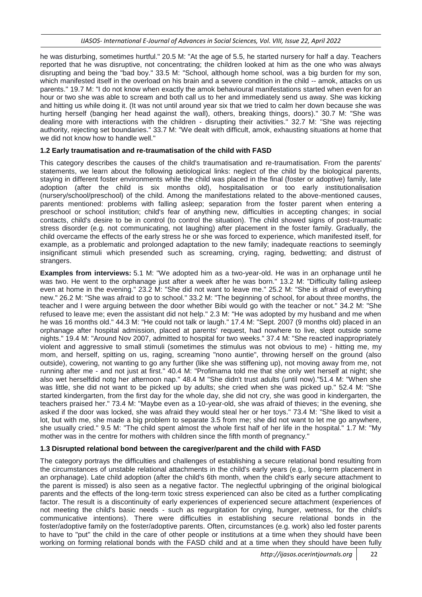he was disturbing, sometimes hurtful." 20.5 M: "At the age of 5.5, he started nursery for half a day. Teachers reported that he was disruptive, not concentrating; the children looked at him as the one who was always disrupting and being the "bad boy." 33.5 M: "School, although home school, was a big burden for my son, which manifested itself in the overload on his brain and a severe condition in the child -- amok, attacks on us parents." 19.7 M: "I do not know when exactly the amok behavioural manifestations started when even for an hour or two she was able to scream and both call us to her and immediately send us away. She was kicking and hitting us while doing it. (It was not until around year six that we tried to calm her down because she was hurting herself (banging her head against the wall), others, breaking things, doors)." 30.7 M: "She was dealing more with interactions with the children - disrupting their activities." 32.7 M: "She was rejecting authority, rejecting set boundaries." 33.7 M: "We dealt with difficult, amok, exhausting situations at home that we did not know how to handle well."

#### **1.2 Early traumatisation and re-traumatisation of the child with FASD**

This category describes the causes of the child's traumatisation and re-traumatisation. From the parents' statements, we learn about the following aetiological links: neglect of the child by the biological parents, staying in different foster environments while the child was placed in the final (foster or adoptive) family, late adoption (after the child is six months old), hospitalisation or too early institutionalisation (nursery/school/preschool) of the child. Among the manifestations related to the above-mentioned causes, parents mentioned: problems with falling asleep; separation from the foster parent when entering a preschool or school institution; child's fear of anything new, difficulties in accepting changes; in social contacts, child's desire to be in control (to control the situation). The child showed signs of post-traumatic stress disorder (e.g. not communicating, not laughing) after placement in the foster family. Gradually, the child overcame the effects of the early stress he or she was forced to experience, which manifested itself, for example, as a problematic and prolonged adaptation to the new family; inadequate reactions to seemingly insignificant stimuli which presended such as screaming, crying, raging, bedwetting; and distrust of strangers.

**Examples from interviews:** 5.1 M: "We adopted him as a two-year-old. He was in an orphanage until he was two. He went to the orphanage just after a week after he was born." 13.2 M: "Difficulty falling asleep even at home in the evening." 23.2 M: "She did not want to leave me." 25.2 M: "She is afraid of everything new." 26.2 M: "She was afraid to go to school." 33.2 M: "The beginning of school, for about three months, the teacher and I were arguing between the door whether Bibi would go with the teacher or not." 34.2 M: "She refused to leave me; even the assistant did not help." 2.3 M: "He was adopted by my husband and me when he was 16 months old." 44.3 M: "He could not talk or laugh." 17.4 M: "Sept. 2007 (9 months old) placed in an orphanage after hospital admission, placed at parents' request, had nowhere to live, slept outside some nights." 19.4 M: "Around Nov 2007, admitted to hospital for two weeks." 37.4 M: "She reacted inappropriately violent and aggressive to small stimuli (sometimes the stimulus was not obvious to me) - hitting me, my mom, and herself, spitting on us, raging, screaming "nono auntie", throwing herself on the ground (also outside), cowering, not wanting to go any further (like she was stiffening up), not moving away from me, not running after me - and not just at first." 40.4 M: "Profimama told me that she only wet herself at night; she also wet herselfdid notg her afternoon nap." 48.4 M "She didn't trust adults (until now)."51.4 M: "When she was little, she did not want to be picked up by adults; she cried when she was picked up." 52.4 M: "She started kindergarten, from the first day for the whole day, she did not cry, she was good in kindergarten, the teachers praised her." 73.4 M: "Maybe even as a 10-year-old, she was afraid of thieves; in the evening, she asked if the door was locked, she was afraid they would steal her or her toys." 73.4 M: "She liked to visit a lot, but with me, she made a big problem to separate 3.5 from me; she did not want to let me go anywhere, she usually cried." 9.5 M: "The child spent almost the whole first half of her life in the hospital." 1.7 M: "My mother was in the centre for mothers with children since the fifth month of pregnancy."

#### **1.3 Disrupted relational bond between the caregiver/parent and the child with FASD**

The category portrays the difficulties and challenges of establishing a secure relational bond resulting from the circumstances of unstable relational attachments in the child's early years (e.g., long-term placement in an orphanage). Late child adoption (after the child's 6th month, when the child's early secure attachment to the parent is missed) is also seen as a negative factor. The neglectful upbringing of the original biological parents and the effects of the long-term toxic stress experienced can also be cited as a further complicating factor. The result is a discontinuity of early experiences of experienced secure attachment (experiences of not meeting the child's basic needs - such as regurgitation for crying, hunger, wetness, for the child's communicative intentions). There were difficulties in establishing secure relational bonds in the foster/adoptive family on the foster/adoptive parents. Often, circumstances (e.g. work) also led foster parents to have to "put" the child in the care of other people or institutions at a time when they should have been working on forming relational bonds with the FASD child and at a time when they should have been fully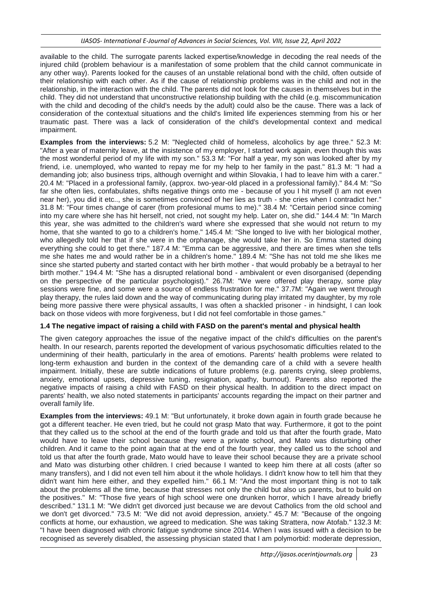available to the child. The surrogate parents lacked expertise/knowledge in decoding the real needs of the injured child (problem behaviour is a manifestation of some problem that the child cannot communicate in any other way). Parents looked for the causes of an unstable relational bond with the child, often outside of their relationship with each other. As if the cause of relationship problems was in the child and not in the relationship, in the interaction with the child. The parents did not look for the causes in themselves but in the child. They did not understand that unconstructive relationship building with the child (e.g. miscommunication with the child and decoding of the child's needs by the adult) could also be the cause. There was a lack of consideration of the contextual situations and the child's limited life experiences stemming from his or her traumatic past. There was a lack of consideration of the child's developmental context and medical impairment.

**Examples from the interviews:** 5.2 M: "Neglected child of homeless, alcoholics by age three." 52.3 M: "After a year of maternity leave, at the insistence of my employer, I started work again, even though this was the most wonderful period of my life with my son." 53.3 M: "For half a year, my son was looked after by my friend, i.e. unemployed, who wanted to repay me for my help to her family in the past." 81.3 M: "I had a demanding job; also business trips, although overnight and within Slovakia, I had to leave him with a carer." 20.4 M: "Placed in a professional family, (approx. two-year-old placed in a professional family)." 84.4 M: "So far she often lies, confabulates, shifts negative things onto me - because of you I hit myself (I am not even near her), you did it etc.., she is sometimes convinced of her lies as truth - she cries when I contradict her." 31.8 M: "Four times change of carer (from profesional mums to me)." 38.4 M: "Certain period since coming into my care where she has hit herself, not cried, not sought my help. Later on, she did." 144.4 M: "In March this year, she was admitted to the children's ward where she expressed that she would not return to my home, that she wanted to go to a children's home." 145.4 M: "She longed to live with her biological mother, who allegedly told her that if she were in the orphanage, she would take her in. So Emma started doing everything she could to get there." 187.4 M: "Emma can be aggressive, and there are times when she tells me she hates me and would rather be in a children's home." 189.4 M: "She has not told me she likes me since she started puberty and started contact with her birth mother - that would probably be a betrayal to her birth mother." 194.4 M: "She has a disrupted relational bond - ambivalent or even disorganised (depending on the perspective of the particular psychologist)." 26.7M: "We were offered play therapy, some play sessions were fine, and some were a source of endless frustration for me." 37.7M: "Again we went through play therapy, the rules laid down and the way of communicating during play irritated my daughter, by my role being more passive there were physical assaults, I was often a shackled prisoner - in hindsight, I can look back on those videos with more forgiveness, but I did not feel comfortable in those games."

### **1.4 The negative impact of raising a child with FASD on the parent's mental and physical health**

The given category approaches the issue of the negative impact of the child's difficulties on the parent's health. In our research, parents reported the development of various psychosomatic difficulties related to the undermining of their health, particularly in the area of emotions. Parents' health problems were related to long-term exhaustion and burden in the context of the demanding care of a child with a severe health impairment. Initially, these are subtle indications of future problems (e.g. parents crying, sleep problems, anxiety, emotional upsets, depressive tuning, resignation, apathy, burnout). Parents also reported the negative impacts of raising a child with FASD on their physical health. In addition to the direct impact on parents' health, we also noted statements in participants' accounts regarding the impact on their partner and overall family life.

**Examples from the interviews:** 49.1 M: "But unfortunately, it broke down again in fourth grade because he got a different teacher. He even tried, but he could not grasp Mato that way. Furthermore, it got to the point that they called us to the school at the end of the fourth grade and told us that after the fourth grade, Mato would have to leave their school because they were a private school, and Mato was disturbing other children. And it came to the point again that at the end of the fourth year, they called us to the school and told us that after the fourth grade, Mato would have to leave their school because they are a private school and Mato was disturbing other children. I cried because I wanted to keep him there at all costs (after so many transfers), and I did not even tell him about it the whole holidays. I didn't know how to tell him that they didn't want him here either, and they expelled him." 66.1 M: "And the most important thing is not to talk about the problems all the time, because that stresses not only the child but also us parents, but to build on the positives." M: "Those five years of high school were one drunken horror, which I have already briefly described." 131.1 M: "We didn't get divorced just because we are devout Catholics from the old school and we don't get divorced." 73.5 M: "We did not avoid depression, anxiety." 45.7 M: "Because of the ongoing conflicts at home, our exhaustion, we agreed to medication. She was taking Strattera, now Atofab." 132.3 M: "I have been diagnosed with chronic fatigue syndrome since 2014. When I was issued with a decision to be recognised as severely disabled, the assessing physician stated that I am polymorbid: moderate depression,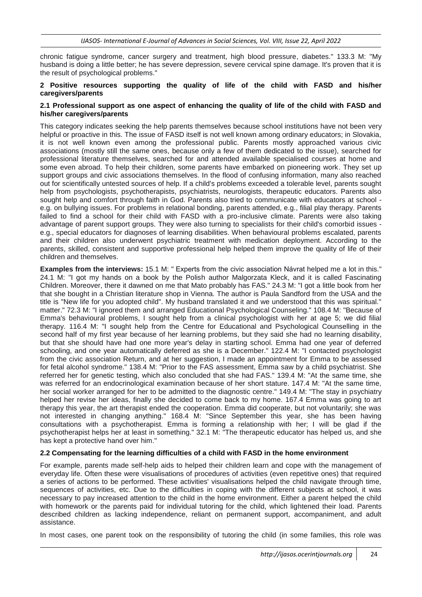chronic fatigue syndrome, cancer surgery and treatment, high blood pressure, diabetes." 133.3 M: "My husband is doing a little better; he has severe depression, severe cervical spine damage. It's proven that it is the result of psychological problems."

#### **2 Positive resources supporting the quality of life of the child with FASD and his/her caregivers/parents**

#### **2.1 Professional support as one aspect of enhancing the quality of life of the child with FASD and his/her caregivers/parents**

This category indicates seeking the help parents themselves because school institutions have not been very helpful or proactive in this. The issue of FASD itself is not well known among ordinary educators; in Slovakia, it is not well known even among the professional public. Parents mostly approached various civic associations (mostly still the same ones, because only a few of them dedicated to the issue), searched for professional literature themselves, searched for and attended available specialised courses at home and some even abroad. To help their children, some parents have embarked on pioneering work. They set up support groups and civic associations themselves. In the flood of confusing information, many also reached out for scientifically untested sources of help. If a child's problems exceeded a tolerable level, parents sought help from psychologists, psychotherapists, psychiatrists, neurologists, therapeutic educators. Parents also sought help and comfort through faith in God. Parents also tried to communicate with educators at school e.g. on bullying issues. For problems in relational bonding, parents attended, e.g., filial play therapy. Parents failed to find a school for their child with FASD with a pro-inclusive climate. Parents were also taking advantage of parent support groups. They were also turning to specialists for their child's comorbid issues e.g., special educators for diagnoses of learning disabilities. When behavioural problems escalated, parents and their children also underwent psychiatric treatment with medication deployment. According to the parents, skilled, consistent and supportive professional help helped them improve the quality of life of their children and themselves.

**Examples from the interviews:** 15.1 M: " Experts from the civic association Návrat helped me a lot in this." 24.1 M: "I got my hands on a book by the Polish author Malgorzata Kleck, and it is called Fascinating Children. Moreover, there it dawned on me that Mato probably has FAS." 24.3 M: "I got a little book from her that she bought in a Christian literature shop in Vienna. The author is Paula Sandford from the USA and the title is "New life for you adopted child". My husband translated it and we understood that this was spiritual." matter." 72.3 M: "I ignored them and arranged Educational Psychological Counseling." 108.4 M: "Because of Emma's behavioural problems, I sought help from a clinical psychologist with her at age 5; we did filial therapy. 116.4 M: "I sought help from the Centre for Educational and Psychological Counselling in the second half of my first year because of her learning problems, but they said she had no learning disability, but that she should have had one more year's delay in starting school. Emma had one year of deferred schooling, and one year automatically deferred as she is a December." 122.4 M: "I contacted psychologist from the civic association Return, and at her suggestion, I made an appointment for Emma to be assessed for fetal alcohol syndrome." 138.4 M: "Prior to the FAS assessment, Emma saw by a child psychiatrist. She referred her for genetic testing, which also concluded that she had FAS." 139.4 M: "At the same time, she was referred for an endocrinological examination because of her short stature. 147.4 M: "At the same time, her social worker arranged for her to be admitted to the diagnostic centre." 149.4 M: "The stay in psychiatry helped her revise her ideas, finally she decided to come back to my home. 167.4 Emma was going to art therapy this year, the art therapist ended the cooperation. Emma did cooperate, but not voluntarily; she was not interested in changing anything." 168.4 M: "Since September this year, she has been having consultations with a psychotherapist. Emma is forming a relationship with her; I will be glad if the psychotherapist helps her at least in something." 32.1 M: "The therapeutic educator has helped us, and she has kept a protective hand over him."

#### **2.2 Compensating for the learning difficulties of a child with FASD in the home environment**

For example, parents made self-help aids to helped their children learn and cope with the management of everyday life. Often these were visualisations of procedures of activities (even repetitive ones) that required a series of actions to be performed. These activities' visualisations helped the child navigate through time, sequences of activities, etc. Due to the difficulties in coping with the different subjects at school, it was necessary to pay increased attention to the child in the home environment. Either a parent helped the child with homework or the parents paid for individual tutoring for the child, which lightened their load. Parents described children as lacking independence, reliant on permanent support, accompaniment, and adult assistance.

In most cases, one parent took on the responsibility of tutoring the child (in some families, this role was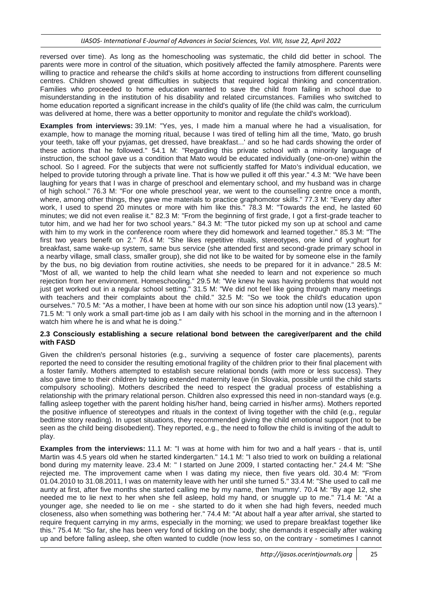reversed over time). As long as the homeschooling was systematic, the child did better in school. The parents were more in control of the situation, which positively affected the family atmosphere. Parents were willing to practice and rehearse the child's skills at home according to instructions from different counselling centres. Children showed great difficulties in subjects that required logical thinking and concentration. Families who proceeded to home education wanted to save the child from failing in school due to misunderstanding in the institution of his disability and related circumstances. Families who switched to home education reported a significant increase in the child's quality of life (the child was calm, the curriculum was delivered at home, there was a better opportunity to monitor and regulate the child's workload).

**Examples from interviews:** 39.1M: "Yes, yes, I made him a manual where he had a visualisation, for example, how to manage the morning ritual, because I was tired of telling him all the time, 'Mato, go brush your teeth, take off your pyjamas, get dressed, have breakfast...' and so he had cards showing the order of these actions that he followed." 54.1 M: "Regarding this private school with a minority language of instruction, the school gave us a condition that Mato would be educated individually (one-on-one) within the school. So I agreed. For the subjects that were not sufficiently staffed for Mato's individual education, we helped to provide tutoring through a private line. That is how we pulled it off this year." 4.3 M: "We have been laughing for years that I was in charge of preschool and elementary school, and my husband was in charge of high school." 76.3 M: "For one whole preschool year, we went to the counselling centre once a month, where, among other things, they gave me materials to practice graphomotor skills." 77.3 M: "Every day after work, I used to spend 20 minutes or more with him like this." 78.3 M: "Towards the end, he lasted 60 minutes; we did not even realise it." 82.3 M: "From the beginning of first grade, I got a first-grade teacher to tutor him, and we had her for two school years." 84.3 M: "The tutor picked my son up at school and came with him to my work in the conference room where they did homework and learned together." 85.3 M: "The first two years benefit on 2." 76.4 M: "She likes repetitive rituals, stereotypes, one kind of yoghurt for breakfast, same wake-up system, same bus service (she attended first and second-grade primary school in a nearby village, small class, smaller group), she did not like to be waited for by someone else in the family by the bus, no big deviation from routine activities, she needs to be prepared for it in advance." 28.5 M: "Most of all, we wanted to help the child learn what she needed to learn and not experience so much rejection from her environment. Homeschooling." 29.5 M: "We knew he was having problems that would not just get worked out in a regular school setting." 31.5 M: "We did not feel like going through many meetings with teachers and their complaints about the child." 32.5 M: "So we took the child's education upon ourselves." 70.5 M: "As a mother, I have been at home with our son since his adoption until now (13 years)." 71.5 M: "I only work a small part-time job as I am daily with his school in the morning and in the afternoon I watch him where he is and what he is doing."

#### **2.3 Consciously establishing a secure relational bond between the caregiver/parent and the child with FASD**

Given the children's personal histories (e.g., surviving a sequence of foster care placements), parents reported the need to consider the resulting emotional fragility of the children prior to their final placement with a foster family. Mothers attempted to establish secure relational bonds (with more or less success). They also gave time to their children by taking extended maternity leave (in Slovakia, possible until the child starts compulsory schooling). Mothers described the need to respect the gradual process of establishing a relationship with the primary relational person. Children also expressed this need in non-standard ways (e.g. falling asleep together with the parent holding his/her hand, being carried in his/her arms). Mothers reported the positive influence of stereotypes and rituals in the context of living together with the child (e.g., regular bedtime story reading). In upset situations, they recommended giving the child emotional support (not to be seen as the child being disobedient). They reported, e.g., the need to follow the child is inviting of the adult to play.

**Examples from the interviews:** 11.1 M: "I was at home with him for two and a half years - that is, until Martin was 4.5 years old when he started kindergarten." 14.1 M: "I also tried to work on building a relational bond during my maternity leave. 23.4 M: " I started on June 2009, I started contacting her." 24.4 M: "She rejected me. The improvement came when I was dating my niece, then five years old. 30.4 M: "From 01.04.2010 to 31.08.2011, I was on maternity leave with her until she turned 5." 33.4 M: "She used to call me aunty at first, after five months she started calling me by my name, then 'mummy'. 70.4 M: "By age 12, she needed me to lie next to her when she fell asleep, hold my hand, or snuggle up to me." 71.4 M: "At a younger age, she needed to lie on me - she started to do it when she had high fevers, needed much closeness, also when something was bothering her." 74.4 M: "At about half a year after arrival, she started to require frequent carrying in my arms, especially in the morning; we used to prepare breakfast together like this." 75.4 M: "So far, she has been very fond of tickling on the body; she demands it especially after waking up and before falling asleep, she often wanted to cuddle (now less so, on the contrary - sometimes I cannot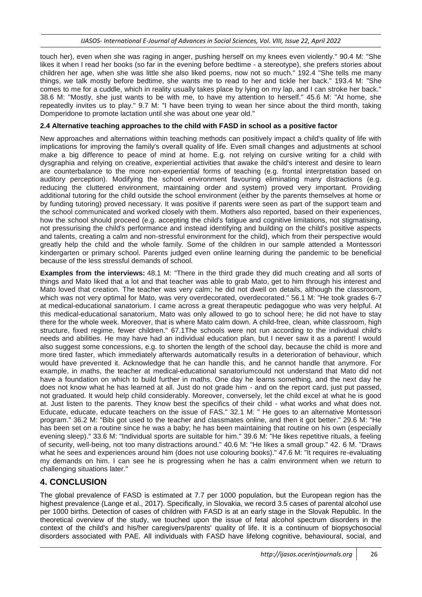touch her), even when she was raging in anger, pushing herself on my knees even violently." 90.4 M: "She likes it when I read her books (so far in the evening before bedtime - a stereotype), she prefers stories about children her age, when she was little she also liked poems, now not so much." 192.4 "She tells me many things, we talk mostly before bedtime, she wants me to read to her and tickle her back." 193.4 M: "She comes to me for a cuddle, which in reality usually takes place by lying on my lap, and I can stroke her back." 38.6 M: "Mostly, she just wants to be with me, to have my attention to herself." 45.6 M: "At home, she repeatedly invites us to play." 9.7 M: "I have been trying to wean her since about the third month, taking Domperidone to promote lactation until she was about one year old."

### **2.4 Alternative teaching approaches to the child with FASD in school as a positive factor**

New approaches and alternations within teaching methods can positively impact a child's quality of life with implications for improving the family's overall quality of life. Even small changes and adjustments at school make a big difference to peace of mind at home. E.g. not relying on cursive writing for a child with dysgraphia and relying on creative, experiential activities that awake the child's interest and desire to learn are counterbalance to the more non-experiential forms of teaching (e.g. frontal interpretation based on auditory perception). Modifying the school environment favouring eliminating many distractions (e.g. reducing the cluttered environment, maintaining order and system) proved very important. Providing additional tutoring for the child outside the school environment (either by the parents themselves at home or by funding tutoring) proved necessary. It was positive if parents were seen as part of the support team and the school communicated and worked closely with them. Mothers also reported, based on their experiences, how the school should proceed (e.g. accepting the child's fatigue and cognitive limitations, not stigmatising, not pressurising the child's performance and instead identifying and building on the child's positive aspects and talents, creating a calm and non-stressful environment for the child), which from their perspective would greatly help the child and the whole family. Some of the children in our sample attended a Montessori kindergarten or primary school. Parents judged even online learning during the pandemic to be beneficial because of the less stressful demands of school.

**Examples from the interviews:** 48.1 M: "There in the third grade they did much creating and all sorts of things and Mato liked that a lot and that teacher was able to grab Mato, get to him through his interest and Mato loved that creation. The teacher was very calm; he did not dwell on details, although the classroom, which was not very optimal for Mato, was very overdecorated, overdecorated." 56.1 M: "He took grades 6-7 at medical-educational sanatorium. I came across a great therapeutic pedagogue who was very helpful. At this medical-educational sanatorium, Mato was only allowed to go to school here; he did not have to stay there for the whole week. Moreover, that is where Mato calm down. A child-free, clean, white classroom, high structure, fixed regime, fewer children." 67.1The schools were not run according to the individual child's needs and abilities. He may have had an individual education plan, but I never saw it as a parent! I would also suggest some concessions, e.g. to shorten the length of the school day, because the child is more and more tired faster, which immediately afterwards automatically results in a deterioration of behaviour, which would have prevented it. Acknowledge that he can handle this, and he cannot handle that anymore. For example, in maths, the teacher at medical-educational sanatoriumcould not understand that Mato did not have a foundation on which to build further in maths. One day he learns something, and the next day he does not know what he has learned at all. Just do not grade him - and on the report card, just put passed, not graduated. It would help child considerably. Moreover, conversely, let the child excel at what he is good at. Just listen to the parents. They know best the specifics of their child - what works and what does not. Educate, educate, educate teachers on the issue of FAS." 32.1 M: " He goes to an alternative Montessori program." 36.2 M: "Bibi got used to the teacher and classmates online, and then it got better." 29.6 M: "He has been set on a routine since he was a baby; he has been maintaining that routine on his own (especially evening sleep)." 33.6 M: "Individual sports are suitable for him." 39.6 M: "He likes repetitive rituals, a feeling of security, well-being, not too many distractions around." 40.6 M: "He likes a small group." 42. 6 M. "Draws what he sees and experiences around him (does not use colouring books)." 47.6 M: "It requires re-evaluating my demands on him. I can see he is progressing when he has a calm environment when we return to challenging situations later."

## **4. CONCLUSION**

The global prevalence of FASD is estimated at 7.7 per 1000 population, but the European region has the highest prevalence (Lange et al., 2017). Specifically, in Slovakia, we record 3.5 cases of parental alcohol use per 1000 births. Detection of cases of children with FASD is at an early stage in the Slovak Republic. In the theoretical overview of the study, we touched upon the issue of fetal alcohol spectrum disorders in the context of the child's and his/her caregivers/parents' quality of life. It is a continuum of biopsychosocial disorders associated with PAE. All individuals with FASD have lifelong cognitive, behavioural, social, and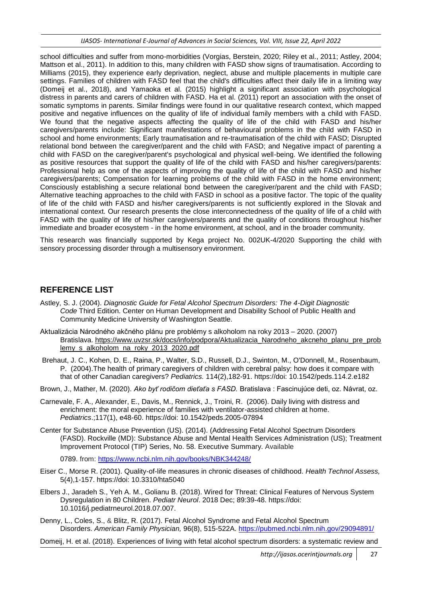*IJASOS- International E-Journal of Advances in Social Sciences, Vol. VIII, Issue 22, April 2022*

school difficulties and suffer from mono-morbidities (Vorgias, Berstein, 2020; Riley et al., 2011; Astley, 2004; Mattson et al., 2011). In addition to this, many children with FASD show signs of traumatisation. According to Milliams (2015), they experience early deprivation, neglect, abuse and multiple placements in multiple care settings. Families of children with FASD feel that the child's difficulties affect their daily life in a limiting way (Domeij et al., 2018), and Yamaoka et al. (2015) highlight a significant association with psychological distress in parents and carers of children with FASD. Ha et al. (2011) report an association with the onset of somatic symptoms in parents. Similar findings were found in our qualitative research context, which mapped positive and negative influences on the quality of life of individual family members with a child with FASD. We found that the negative aspects affecting the quality of life of the child with FASD and his/her caregivers/parents include: Significant manifestations of behavioural problems in the child with FASD in school and home environments; Early traumatisation and re-traumatisation of the child with FASD; Disrupted relational bond between the caregiver/parent and the child with FASD; and Negative impact of parenting a child with FASD on the caregiver/parent's psychological and physical well-being. We identified the following as positive resources that support the quality of life of the child with FASD and his/her caregivers/parents: Professional help as one of the aspects of improving the quality of life of the child with FASD and his/her caregivers/parents; Compensation for learning problems of the child with FASD in the home environment; Consciously establishing a secure relational bond between the caregiver/parent and the child with FASD; Alternative teaching approaches to the child with FASD in school as a positive factor. The topic of the quality of life of the child with FASD and his/her caregivers/parents is not sufficiently explored in the Slovak and international context. Our research presents the close interconnectedness of the quality of life of a child with FASD with the quality of life of his/her caregivers/parents and the quality of conditions throughout his/her immediate and broader ecosystem - in the home environment, at school, and in the broader community.

This research was financially supported by Kega project No. 002UK-4/2020 Supporting the child with sensory processing disorder through a multisensory environment.

## **REFERENCE LIST**

- Astley, S. J. (2004). *Diagnostic Guide for Fetal Alcohol Spectrum Disorders: The 4-Digit Diagnostic Code* Third Edition. Center on Human Development and Disability School of Public Health and Community Medicine University of Washington Seattle.
- Aktualizácia Národného akčného plánu pre problémy s alkoholom na roky 2013 2020. (2007) Bratislava. [https://www.uvzsr.sk/docs/info/podpora/Aktualizacia\\_Narodneho\\_akcneho\\_planu\\_pre\\_prob](https://www.uvzsr.sk/docs/info/podpora/Aktualizacia_Narodneho_akcneho_planu_pre_problemy_s_alkoholom_na_roky_2013_2020.pdf) [lemy\\_s\\_alkoholom\\_na\\_roky\\_2013\\_2020.pdf](https://www.uvzsr.sk/docs/info/podpora/Aktualizacia_Narodneho_akcneho_planu_pre_problemy_s_alkoholom_na_roky_2013_2020.pdf)
- Brehaut, J. C., Kohen, D. E., Raina, P., Walter, S.D., Russell, D.J., Swinton, M., O'Donnell, M., Rosenbaum, P. (2004).The health of primary caregivers of children with cerebral palsy: how does it compare with that of other Canadian caregivers? *Pediatrics.* 114(2),182-91. https://doi: 10.1542/peds.114.2.e182
- Brown, J., Mather, M. (2020). *Ako byť rodičom dieťaťa s FASD.* Bratislava : Fascinujúce deti, oz. Návrat, oz.
- Carnevale, F. A., Alexander, E., Davis, M., Rennick, J., Troini, R. (2006). Daily living with distress and enrichment: the moral experience of families with ventilator-assisted children at home. *Pediatrics*.;117(1), e48-60. https://doi: 10.1542/peds.2005-07894
- Center for Substance Abuse Prevention (US). (2014). (Addressing Fetal Alcohol Spectrum Disorders (FASD). Rockville (MD): Substance Abuse and Mental Health Services Administration (US); Treatment Improvement Protocol (TIP) Series, No. 58. Executive Summary. Available

0789. from: <https://www.ncbi.nlm.nih.gov/books/NBK344248/>

- Eiser C., Morse R. (2001). Quality-of-life measures in chronic diseases of childhood. *Health Technol Assess,* 5(4),1-157. https://doi: 10.3310/hta5040
- Elbers J., Jaradeh S., Yeh A. M., Golianu B. (2018). Wired for Threat: Clinical Features of Nervous System Dysregulation in 80 Children. *Pediatr Neurol*. 2018 Dec; 89:39-48. https://doi: 10.1016/j.pediatrneurol.2018.07.007.
- Denny, L., Coles, S., & Blitz, R. (2017). Fetal Alcohol Syndrome and Fetal Alcohol Spectrum Disorders. *American Family Physician,* 96(8), 515-522A. <https://pubmed.ncbi.nlm.nih.gov/29094891/>

[Domeij,](https://onlinelibrary.wiley.com/action/doSearch?ContribAuthorStored=Domeij%2C+Helena) H. et al. (2018). Experiences of living with fetal alcohol spectrum disorders: a systematic review and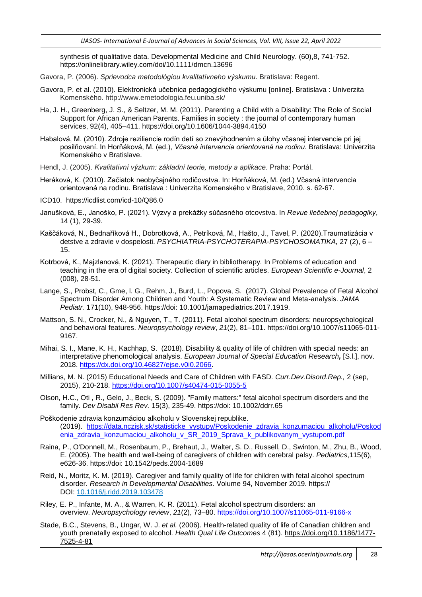synthesis of qualitative data. Developmental Medicine and Child Neurology. [\(60\),8,](https://liveuniba-my.sharepoint.com/personal/vodickova1_uniba_sk/Documents/Pracovná%20plocha/FASD/Istanbul/(60),8) 741-752. <https://onlinelibrary.wiley.com/doi/10.1111/dmcn.13696>

- Gavora, P. (2006). *Sprievodca metodológiou kvalitatívneho výskumu*. Bratislava: Regent.
- Gavora, P. et al. (2010). Elektronická učebnica pedagogického výskumu [online]. Bratislava : Univerzita Komenského. <http://www.emetodologia.feu.uniba.sk/>
- Ha, J. H., Greenberg, J. S., & Seltzer, M. M. (2011). Parenting a Child with a Disability: The Role of Social Support for African American Parents. Families in society : the journal of contemporary human services, 92(4), 405–411. <https://doi.org/10.1606/1044-3894.4150>
- Habalová, M. (2010). Zdroje reziliencie rodín detí so znevýhodnením a úlohy včasnej intervencie pri jej posilňovaní. In Horňáková, M. (ed.), *Včasná intervencia orientovaná na rodinu*. Bratislava: Univerzita Komenského v Bratislave.
- Hendl, J. (2005). *Kvalitativní výzkum: základní teorie, metody a aplikace*. Praha: Portál.
- Heráková, K. (2010). Začiatok neobyčajného rodičovstva. In: Horňáková, M. (ed.) Včasná intervencia orientovaná na rodinu. Bratislava : Univerzita Komenského v Bratislave, 2010. s. 62-67.
- ICD10. <https://icdlist.com/icd-10/Q86.0>
- Janušková, E., Janoško, P. (2021). Výzvy a prekážky súčasného otcovstva. In *Revue liečebnej pedagogiky*, 14 (1), 29-39.
- Kaščáková, N., Bednaříková H., Dobrotková, A., Petríková, M., Hašto, J., Tavel, P. (2020).Traumatizácia v detstve a zdravie v dospelosti. *PSYCHIATRIA-PSYCHOTERAPIA-PSYCHOSOMATIKA,* 27 (2), 6 – 15.
- Kotrbová, K., Majzlanová, K. (2021). Therapeutic diary in bibliotherapy*.* In Problems of education and teaching in the era of digital society. Collection of scientific articles. *European Scientific e-Journal*, 2 (008), 28-51.
- Lange, S., Probst, C., Gme, l. G., Rehm, J., Burd, L., Popova, S. (2017). Global Prevalence of Fetal Alcohol Spectrum Disorder Among Children and Youth: A Systematic Review and Meta-analysis. *JAMA Pediatr.* 171(10), 948-956. https://doi: 10.1001/jamapediatrics.2017.1919.
- Mattson, S. N., Crocker, N., & Nguyen, T., T. (2011). Fetal alcohol spectrum disorders: neuropsychological and behavioral features. *Neuropsychology review*, *21*(2), 81–101. https://doi.org/10.1007/s11065-011- 9167.
- Mihai, S. I., Mane, K. H., Kachhap, S. (2018). Disability & quality of life of children with special needs: an interpretative phenomological analysis. *European Journal of Special Education Research,* [S.l.], nov. 2018. [https://dx.doi.org/10.46827/ejse.v0i0.2066.](https://dx.doi.org/10.46827/ejse.v0i0.2066)
- Millians, M. N. (2015) Educational Needs and Care of Children with FASD. *Curr.Dev.Disord.Rep.,* 2 (sep, 2015), 210-218. <https://doi.org/10.1007/s40474-015-0055-5>
- Olson, H.C., Oti , R., Gelo, J., Beck, S. (2009). "Family matters:" fetal alcohol spectrum disorders and the family. *Dev Disabil Res Rev.* 15(3), 235-49. https://doi: 10.1002/ddrr.65
- Poškodenie zdravia konzumáciou alkoholu v Slovenskej republike. (2019). [https://data.nczisk.sk/statisticke\\_vystupy/Poskodenie\\_zdravia\\_konzumaciou\\_alkoholu/Poskod](https://data.nczisk.sk/statisticke_vystupy/Poskodenie_zdravia_konzumaciou_alkoholu/Poskodenia_zdravia_konzumaciou_alkoholu_v_SR_2019_Sprava_k_publikovanym_vystupom.pdf) [enia\\_zdravia\\_konzumaciou\\_alkoholu\\_v\\_SR\\_2019\\_Sprava\\_k\\_publikovanym\\_vystupom.pdf](https://data.nczisk.sk/statisticke_vystupy/Poskodenie_zdravia_konzumaciou_alkoholu/Poskodenia_zdravia_konzumaciou_alkoholu_v_SR_2019_Sprava_k_publikovanym_vystupom.pdf)
- Raina, P., O'Donnell, M., Rosenbaum, P., Brehaut, J., Walter, S. D., Russell, D., Swinton, M., Zhu, B., Wood, E. (2005). The health and well-being of caregivers of children with cerebral palsy. *Pediatrics*,115(6), e626-36. https://doi: 10.1542/peds.2004-1689
- Reid, N., Moritz, K. M. (2019). Caregiver and family quality of life for children with fetal alcohol spectrum disorder. *Research in [Developmental](https://www.sciencedirect.com/science/journal/08914222) Disabilities.* [Volume](https://www.sciencedirect.com/science/journal/08914222/94/supp/C) 94, November 2019. https:// DOI: [10.1016/j.ridd.2019.103478](https://doi.org/10.1016/j.ridd.2019.103478)
- Riley, E. P., Infante, M. A., & Warren, K. R. (2011). Fetal alcohol spectrum disorders: an overview. *Neuropsychology review*, *21*(2), 73–80.<https://doi.org/10.1007/s11065-011-9166-x>
- Stade, B.C., Stevens, B., Ungar, W. J. *et al.* (2006). Health-related quality of life of Canadian children and youth prenatally exposed to alcohol. *Health Qual Life Outcomes* 4 (81). [https://doi.org/10.1186/1477-](https://doi.org/10.1186/1477-7525-4-81) [7525-4-81](https://doi.org/10.1186/1477-7525-4-81)